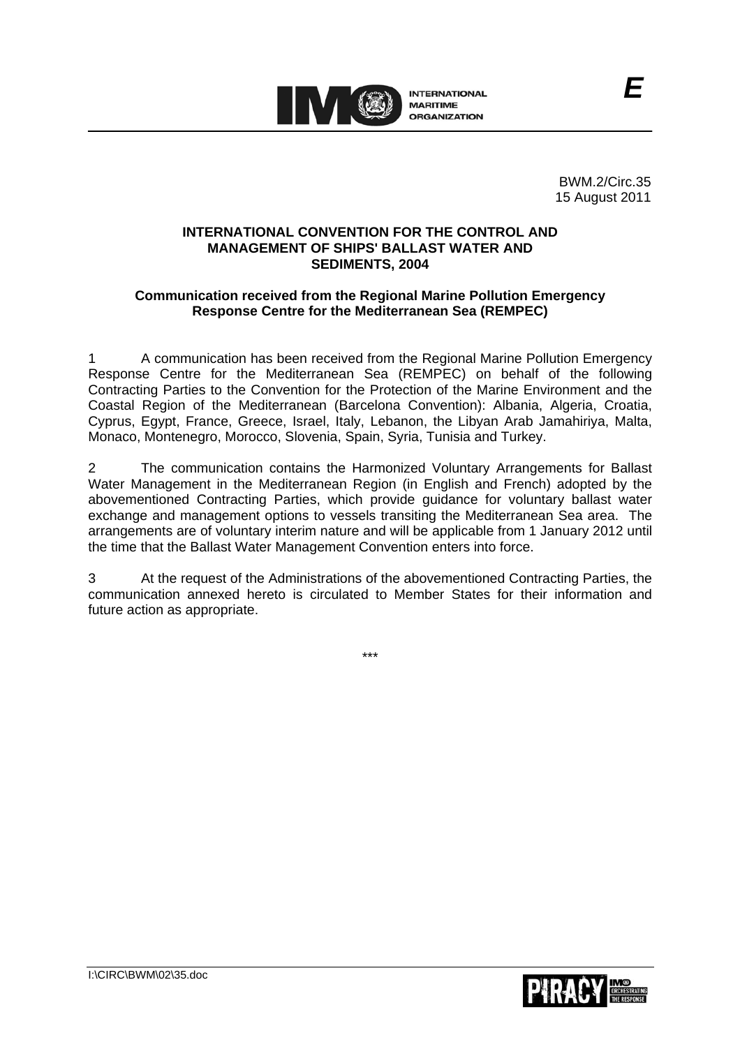

BWM.2/Circ.35 15 August 2011

*E*

## **INTERNATIONAL CONVENTION FOR THE CONTROL AND MANAGEMENT OF SHIPS' BALLAST WATER AND SEDIMENTS, 2004**

# **Communication received from the Regional Marine Pollution Emergency Response Centre for the Mediterranean Sea (REMPEC)**

1 A communication has been received from the Regional Marine Pollution Emergency Response Centre for the Mediterranean Sea (REMPEC) on behalf of the following Contracting Parties to the Convention for the Protection of the Marine Environment and the Coastal Region of the Mediterranean (Barcelona Convention): Albania, Algeria, Croatia, Cyprus, Egypt, France, Greece, Israel, Italy, Lebanon, the Libyan Arab Jamahiriya, Malta, Monaco, Montenegro, Morocco, Slovenia, Spain, Syria, Tunisia and Turkey.

2 The communication contains the Harmonized Voluntary Arrangements for Ballast Water Management in the Mediterranean Region (in English and French) adopted by the abovementioned Contracting Parties, which provide guidance for voluntary ballast water exchange and management options to vessels transiting the Mediterranean Sea area. The arrangements are of voluntary interim nature and will be applicable from 1 January 2012 until the time that the Ballast Water Management Convention enters into force.

At the request of the Administrations of the abovementioned Contracting Parties, the communication annexed hereto is circulated to Member States for their information and future action as appropriate.

\*\*\*

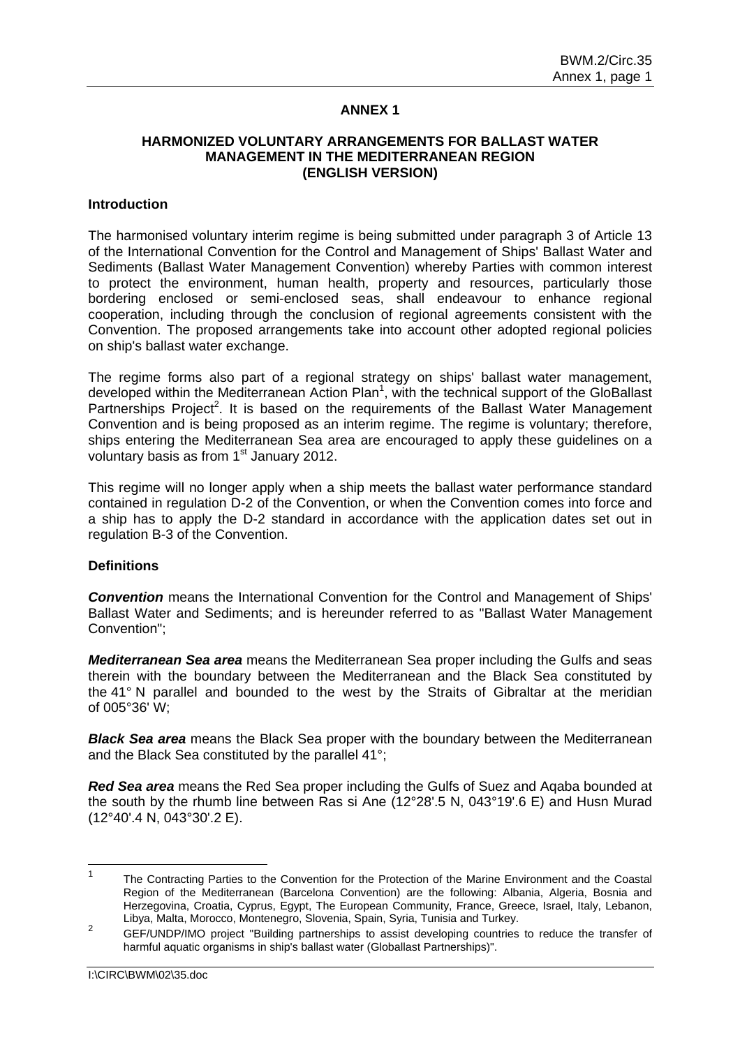### **ANNEX 1**

# **HARMONIZED VOLUNTARY ARRANGEMENTS FOR BALLAST WATER MANAGEMENT IN THE MEDITERRANEAN REGION (ENGLISH VERSION)**

#### **Introduction**

The harmonised voluntary interim regime is being submitted under paragraph 3 of Article 13 of the International Convention for the Control and Management of Ships' Ballast Water and Sediments (Ballast Water Management Convention) whereby Parties with common interest to protect the environment, human health, property and resources, particularly those bordering enclosed or semi-enclosed seas, shall endeavour to enhance regional cooperation, including through the conclusion of regional agreements consistent with the Convention. The proposed arrangements take into account other adopted regional policies on ship's ballast water exchange.

The regime forms also part of a regional strategy on ships' ballast water management, developed within the Mediterranean Action Plan<sup>1</sup>, with the technical support of the GloBallast Partnerships Project<sup>2</sup>. It is based on the requirements of the Ballast Water Management Convention and is being proposed as an interim regime. The regime is voluntary; therefore, ships entering the Mediterranean Sea area are encouraged to apply these guidelines on a voluntary basis as from 1<sup>st</sup> January 2012.

This regime will no longer apply when a ship meets the ballast water performance standard contained in regulation D-2 of the Convention, or when the Convention comes into force and a ship has to apply the D-2 standard in accordance with the application dates set out in regulation B-3 of the Convention.

### **Definitions**

*Convention* means the International Convention for the Control and Management of Ships' Ballast Water and Sediments; and is hereunder referred to as "Ballast Water Management Convention";

*Mediterranean Sea area* means the Mediterranean Sea proper including the Gulfs and seas therein with the boundary between the Mediterranean and the Black Sea constituted by the 41° N parallel and bounded to the west by the Straits of Gibraltar at the meridian of 005°36' W;

*Black Sea area* means the Black Sea proper with the boundary between the Mediterranean and the Black Sea constituted by the parallel 41°;

*Red Sea area* means the Red Sea proper including the Gulfs of Suez and Aqaba bounded at the south by the rhumb line between Ras si Ane (12°28'.5 N, 043°19'.6 E) and Husn Murad (12°40'.4 N, 043°30'.2 E).

<sup>1</sup> The Contracting Parties to the Convention for the Protection of the Marine Environment and the Coastal Region of the Mediterranean (Barcelona Convention) are the following: Albania, Algeria, Bosnia and Herzegovina, Croatia, Cyprus, Egypt, The European Community, France, Greece, Israel, Italy, Lebanon, Libya, Malta, Morocco, Montenegro, Slovenia, Spain, Syria, Tunisia and Turkey.

<sup>2</sup> GEF/UNDP/IMO project "Building partnerships to assist developing countries to reduce the transfer of harmful aquatic organisms in ship's ballast water (Globallast Partnerships)".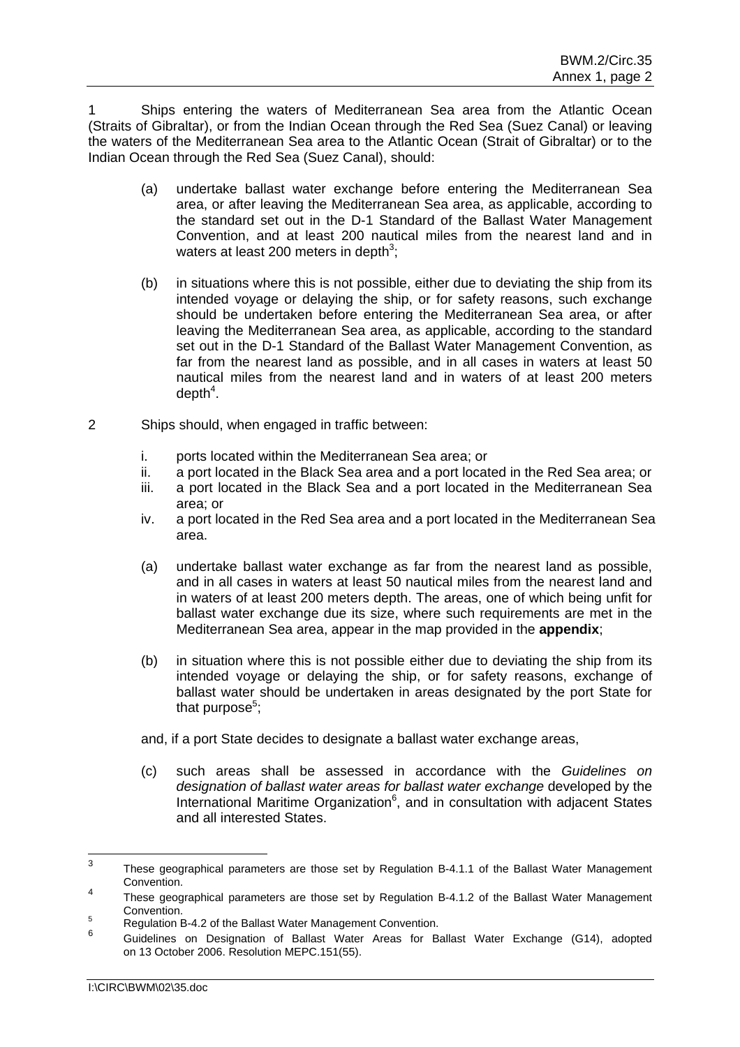1 Ships entering the waters of Mediterranean Sea area from the Atlantic Ocean (Straits of Gibraltar), or from the Indian Ocean through the Red Sea (Suez Canal) or leaving the waters of the Mediterranean Sea area to the Atlantic Ocean (Strait of Gibraltar) or to the Indian Ocean through the Red Sea (Suez Canal), should:

- (a) undertake ballast water exchange before entering the Mediterranean Sea area, or after leaving the Mediterranean Sea area, as applicable, according to the standard set out in the D-1 Standard of the Ballast Water Management Convention, and at least 200 nautical miles from the nearest land and in waters at least 200 meters in depth<sup>3</sup>;
- (b) in situations where this is not possible, either due to deviating the ship from its intended voyage or delaying the ship, or for safety reasons, such exchange should be undertaken before entering the Mediterranean Sea area, or after leaving the Mediterranean Sea area, as applicable, according to the standard set out in the D-1 Standard of the Ballast Water Management Convention, as far from the nearest land as possible, and in all cases in waters at least 50 nautical miles from the nearest land and in waters of at least 200 meters depth $4$ .
- 2 Ships should, when engaged in traffic between:
	- i. ports located within the Mediterranean Sea area; or
	- ii. a port located in the Black Sea area and a port located in the Red Sea area; or
	- iii. a port located in the Black Sea and a port located in the Mediterranean Sea area; or
	- iv. a port located in the Red Sea area and a port located in the Mediterranean Sea area.
	- (a) undertake ballast water exchange as far from the nearest land as possible, and in all cases in waters at least 50 nautical miles from the nearest land and in waters of at least 200 meters depth. The areas, one of which being unfit for ballast water exchange due its size, where such requirements are met in the Mediterranean Sea area, appear in the map provided in the **appendix**;
	- (b) in situation where this is not possible either due to deviating the ship from its intended voyage or delaying the ship, or for safety reasons, exchange of ballast water should be undertaken in areas designated by the port State for that purpose<sup>5</sup>;
	- and, if a port State decides to designate a ballast water exchange areas,
	- (c) such areas shall be assessed in accordance with the *Guidelines on designation of ballast water areas for ballast water exchange* developed by the International Maritime Organization $6$ , and in consultation with adjacent States and all interested States.

<sup>-&</sup>lt;br>3 These geographical parameters are those set by Regulation B-4.1.1 of the Ballast Water Management Convention. 4

These geographical parameters are those set by Regulation B-4.1.2 of the Ballast Water Management Convention.

Regulation B-4.2 of the Ballast Water Management Convention.

<sup>6</sup> Guidelines on Designation of Ballast Water Areas for Ballast Water Exchange (G14), adopted on 13 October 2006. Resolution MEPC.151(55).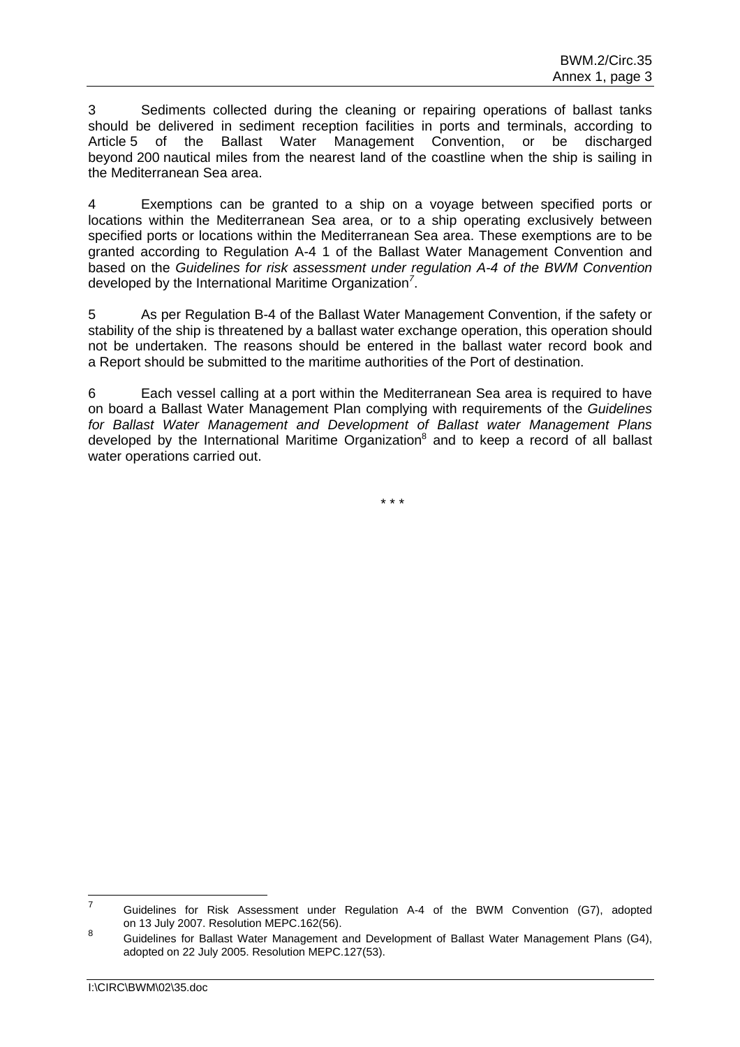3 Sediments collected during the cleaning or repairing operations of ballast tanks should be delivered in sediment reception facilities in ports and terminals, according to Article 5 of the Ballast Water Management Convention, or be discharged beyond 200 nautical miles from the nearest land of the coastline when the ship is sailing in the Mediterranean Sea area.

4 Exemptions can be granted to a ship on a voyage between specified ports or locations within the Mediterranean Sea area, or to a ship operating exclusively between specified ports or locations within the Mediterranean Sea area. These exemptions are to be granted according to Regulation A-4 1 of the Ballast Water Management Convention and based on the *Guidelines for risk assessment under regulation A-4 of the BWM Convention* developed by the International Maritime Organization*<sup>7</sup>* .

5 As per Regulation B-4 of the Ballast Water Management Convention, if the safety or stability of the ship is threatened by a ballast water exchange operation, this operation should not be undertaken. The reasons should be entered in the ballast water record book and a Report should be submitted to the maritime authorities of the Port of destination.

6 Each vessel calling at a port within the Mediterranean Sea area is required to have on board a Ballast Water Management Plan complying with requirements of the *Guidelines for Ballast Water Management and Development of Ballast water Management Plans*  developed by the International Maritime Organization<sup>8</sup> and to keep a record of all ballast water operations carried out.

\* \* \*

<sup>—&</sup>lt;br>7 Guidelines for Risk Assessment under Regulation A-4 of the BWM Convention (G7), adopted on 13 July 2007. Resolution MEPC.162(56).

<sup>8</sup> Guidelines for Ballast Water Management and Development of Ballast Water Management Plans (G4), adopted on 22 July 2005. Resolution MEPC.127(53).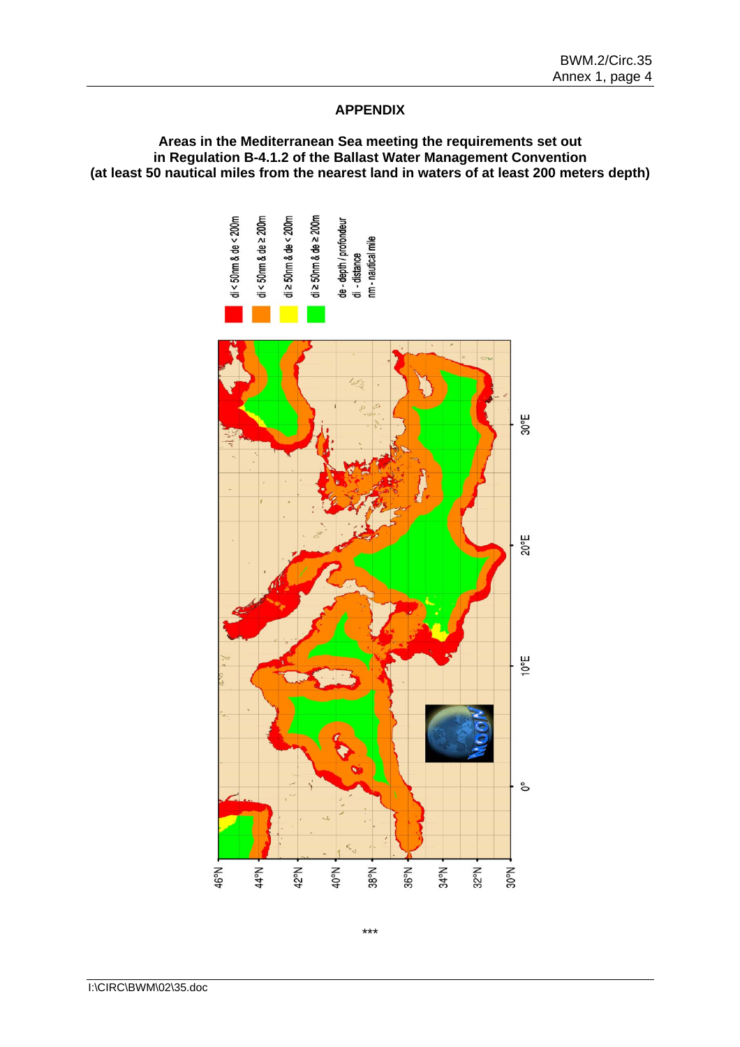## **APPENDIX**

### **Areas in the Mediterranean Sea meeting the requirements set out in Regulation B-4.1.2 of the Ballast Water Management Convention (at least 50 nautical miles from the nearest land in waters of at least 200 meters depth)**

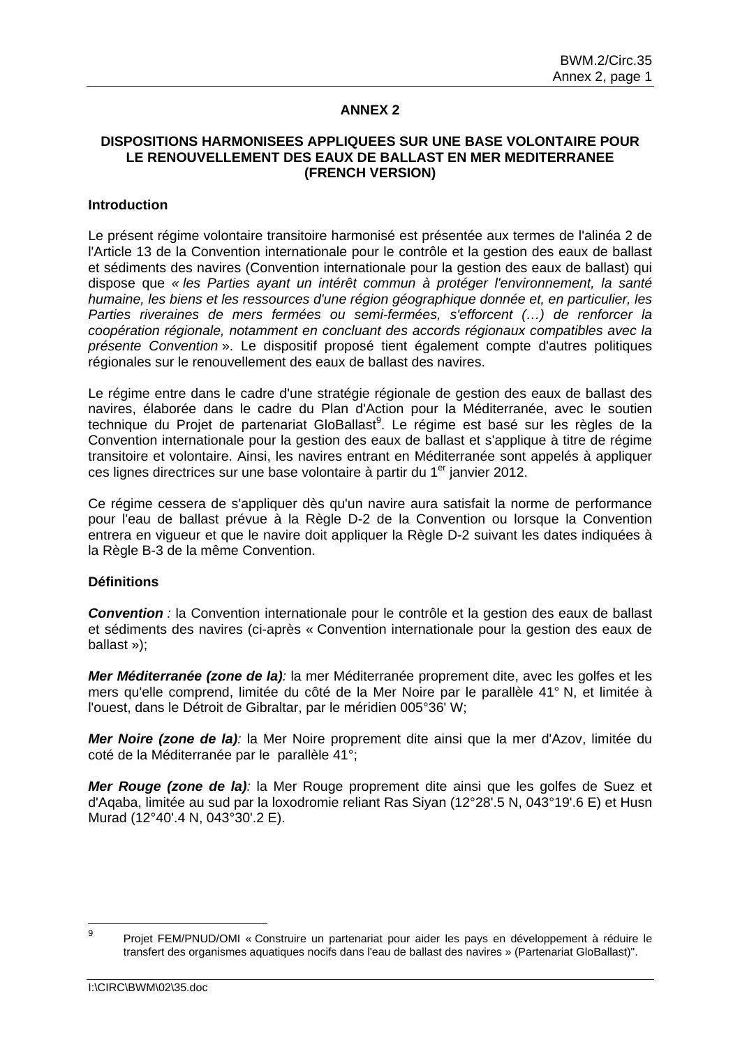## **ANNEX 2**

## **DISPOSITIONS HARMONISEES APPLIQUEES SUR UNE BASE VOLONTAIRE POUR LE RENOUVELLEMENT DES EAUX DE BALLAST EN MER MEDITERRANEE (FRENCH VERSION)**

### **Introduction**

Le présent régime volontaire transitoire harmonisé est présentée aux termes de l'alinéa 2 de l'Article 13 de la Convention internationale pour le contrôle et la gestion des eaux de ballast et sédiments des navires (Convention internationale pour la gestion des eaux de ballast) qui dispose que *« les Parties ayant un intérêt commun à protéger l'environnement, la santé humaine, les biens et les ressources d'une région géographique donnée et, en particulier, les*  Parties riveraines de mers fermées ou semi-fermées, s'efforcent (...) de renforcer la *coopération régionale, notamment en concluant des accords régionaux compatibles avec la présente Convention* ». Le dispositif proposé tient également compte d'autres politiques régionales sur le renouvellement des eaux de ballast des navires.

Le régime entre dans le cadre d'une stratégie régionale de gestion des eaux de ballast des navires, élaborée dans le cadre du Plan d'Action pour la Méditerranée, avec le soutien technique du Projet de partenariat GloBallast<sup>9</sup>. Le régime est basé sur les règles de la Convention internationale pour la gestion des eaux de ballast et s'applique à titre de régime transitoire et volontaire. Ainsi, les navires entrant en Méditerranée sont appelés à appliquer ces lignes directrices sur une base volontaire à partir du 1<sup>er</sup> janvier 2012.

Ce régime cessera de s'appliquer dès qu'un navire aura satisfait la norme de performance pour l'eau de ballast prévue à la Règle D-2 de la Convention ou lorsque la Convention entrera en vigueur et que le navire doit appliquer la Règle D-2 suivant les dates indiquées à la Règle B-3 de la même Convention.

### **Définitions**

*Convention :* la Convention internationale pour le contrôle et la gestion des eaux de ballast et sédiments des navires (ci-après « Convention internationale pour la gestion des eaux de ballast »);

*Mer Méditerranée (zone de la):* la mer Méditerranée proprement dite, avec les golfes et les mers qu'elle comprend, limitée du côté de la Mer Noire par le parallèle 41° N, et limitée à l'ouest, dans le Détroit de Gibraltar, par le méridien 005°36' W;

*Mer Noire (zone de la):* la Mer Noire proprement dite ainsi que la mer d'Azov, limitée du coté de la Méditerranée par le parallèle 41°;

*Mer Rouge (zone de la):* la Mer Rouge proprement dite ainsi que les golfes de Suez et d'Aqaba, limitée au sud par la loxodromie reliant Ras Siyan (12°28'.5 N, 043°19'.6 E) et Husn Murad (12°40'.4 N, 043°30'.2 E).

<sup>–&</sup>lt;br>9 Projet FEM/PNUD/OMI « Construire un partenariat pour aider les pays en développement à réduire le transfert des organismes aquatiques nocifs dans l'eau de ballast des navires » (Partenariat GloBallast)".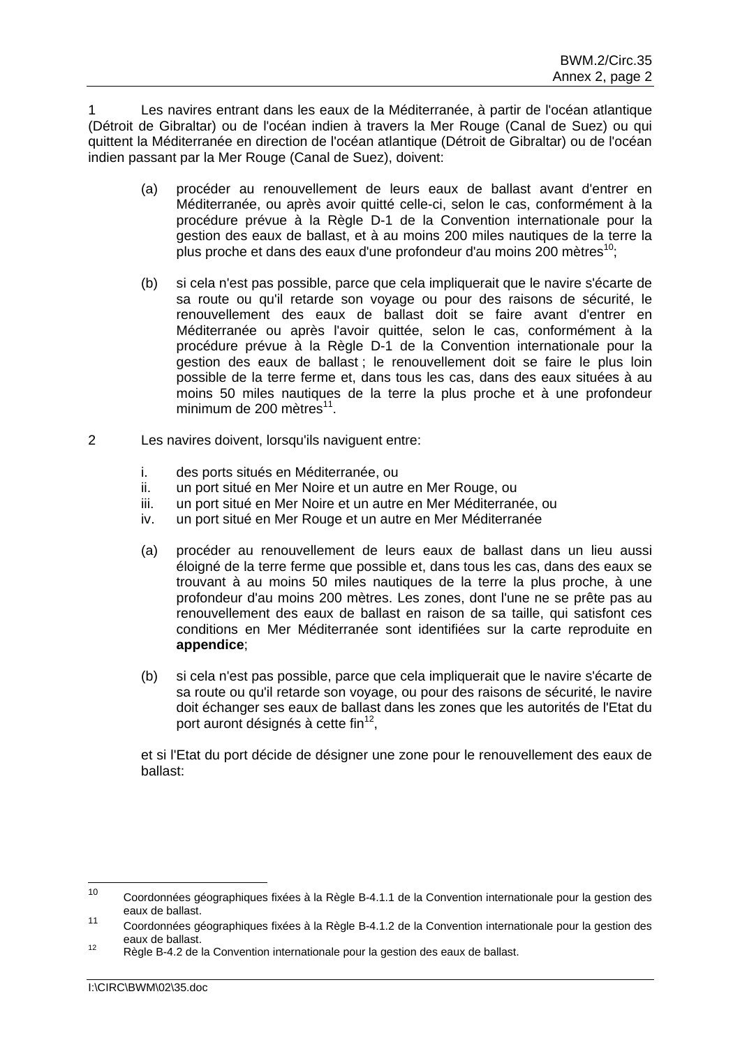1 Les navires entrant dans les eaux de la Méditerranée, à partir de l'océan atlantique (Détroit de Gibraltar) ou de l'océan indien à travers la Mer Rouge (Canal de Suez) ou qui quittent la Méditerranée en direction de l'océan atlantique (Détroit de Gibraltar) ou de l'océan indien passant par la Mer Rouge (Canal de Suez), doivent:

- (a) procéder au renouvellement de leurs eaux de ballast avant d'entrer en Méditerranée, ou après avoir quitté celle-ci, selon le cas, conformément à la procédure prévue à la Règle D-1 de la Convention internationale pour la gestion des eaux de ballast, et à au moins 200 miles nautiques de la terre la plus proche et dans des eaux d'une profondeur d'au moins 200 mètres<sup>10</sup>;
- (b) si cela n'est pas possible, parce que cela impliquerait que le navire s'écarte de sa route ou qu'il retarde son voyage ou pour des raisons de sécurité, le renouvellement des eaux de ballast doit se faire avant d'entrer en Méditerranée ou après l'avoir quittée, selon le cas, conformément à la procédure prévue à la Règle D-1 de la Convention internationale pour la gestion des eaux de ballast ; le renouvellement doit se faire le plus loin possible de la terre ferme et, dans tous les cas, dans des eaux situées à au moins 50 miles nautiques de la terre la plus proche et à une profondeur minimum de  $200$  mètres<sup>11</sup>.
- 2 Les navires doivent, lorsqu'ils naviguent entre:
	- i. des ports situés en Méditerranée, ou
	- ii. un port situé en Mer Noire et un autre en Mer Rouge, ou
	- iii. un port situé en Mer Noire et un autre en Mer Méditerranée, ou
	- iv. un port situé en Mer Rouge et un autre en Mer Méditerranée
	- (a) procéder au renouvellement de leurs eaux de ballast dans un lieu aussi éloigné de la terre ferme que possible et, dans tous les cas, dans des eaux se trouvant à au moins 50 miles nautiques de la terre la plus proche, à une profondeur d'au moins 200 mètres. Les zones, dont l'une ne se prête pas au renouvellement des eaux de ballast en raison de sa taille, qui satisfont ces conditions en Mer Méditerranée sont identifiées sur la carte reproduite en **appendice**;
	- (b) si cela n'est pas possible, parce que cela impliquerait que le navire s'écarte de sa route ou qu'il retarde son voyage, ou pour des raisons de sécurité, le navire doit échanger ses eaux de ballast dans les zones que les autorités de l'Etat du port auront désignés à cette fin $^{12}$ .

et si l'Etat du port décide de désigner une zone pour le renouvellement des eaux de ballast:

 $10<sup>1</sup>$ 10 Coordonnées géographiques fixées à la Règle B-4.1.1 de la Convention internationale pour la gestion des eaux de ballast.

<sup>11</sup> Coordonnées géographiques fixées à la Règle B-4.1.2 de la Convention internationale pour la gestion des eaux de ballast.<br><sup>12</sup> Règle B-4.2 de la Convention internationale pour la gestion des eaux de ballast.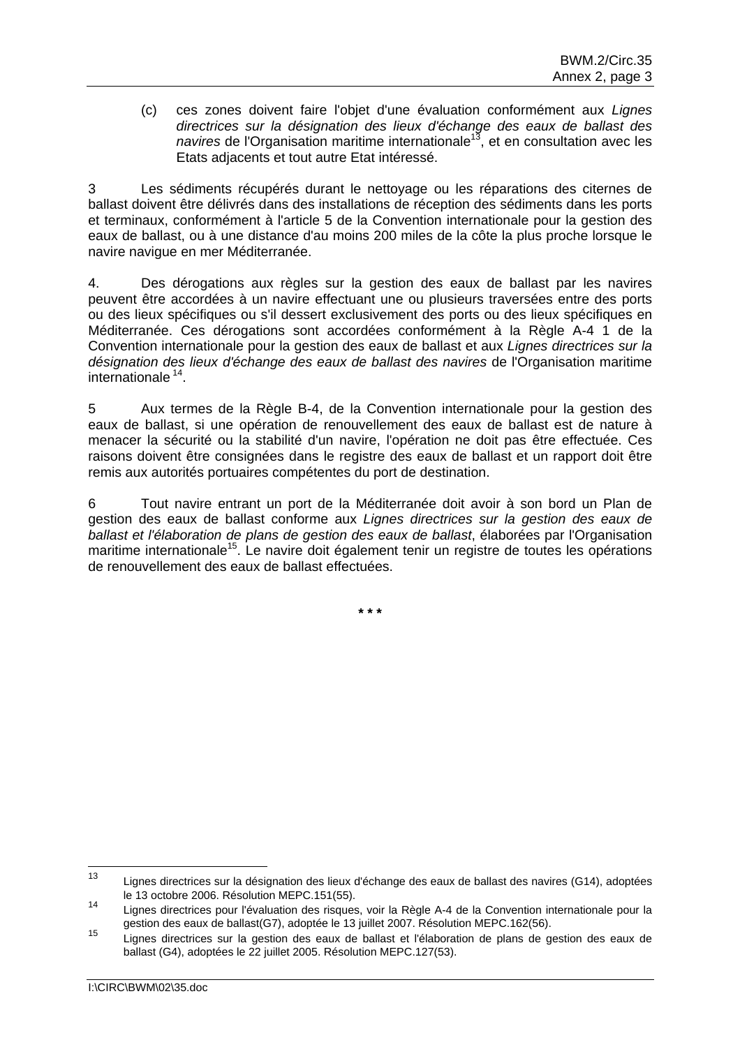(c) ces zones doivent faire l'objet d'une évaluation conformément aux *Lignes directrices sur la désignation des lieux d'échange des eaux de ballast des navires* de l'Organisation maritime internationale<sup>13</sup>, et en consultation avec les Etats adjacents et tout autre Etat intéressé.

3 Les sédiments récupérés durant le nettoyage ou les réparations des citernes de ballast doivent être délivrés dans des installations de réception des sédiments dans les ports et terminaux, conformément à l'article 5 de la Convention internationale pour la gestion des eaux de ballast, ou à une distance d'au moins 200 miles de la côte la plus proche lorsque le navire navigue en mer Méditerranée.

4. Des dérogations aux règles sur la gestion des eaux de ballast par les navires peuvent être accordées à un navire effectuant une ou plusieurs traversées entre des ports ou des lieux spécifiques ou s'il dessert exclusivement des ports ou des lieux spécifiques en Méditerranée. Ces dérogations sont accordées conformément à la Règle A-4 1 de la Convention internationale pour la gestion des eaux de ballast et aux *Lignes directrices sur la désignation des lieux d'échange des eaux de ballast des navires* de l'Organisation maritime internationale 14.

5 Aux termes de la Règle B-4, de la Convention internationale pour la gestion des eaux de ballast, si une opération de renouvellement des eaux de ballast est de nature à menacer la sécurité ou la stabilité d'un navire, l'opération ne doit pas être effectuée. Ces raisons doivent être consignées dans le registre des eaux de ballast et un rapport doit être remis aux autorités portuaires compétentes du port de destination.

6 Tout navire entrant un port de la Méditerranée doit avoir à son bord un Plan de gestion des eaux de ballast conforme aux *Lignes directrices sur la gestion des eaux de ballast et l'élaboration de plans de gestion des eaux de ballast*, élaborées par l'Organisation maritime internationale<sup>15</sup>. Le navire doit également tenir un registre de toutes les opérations de renouvellement des eaux de ballast effectuées.

**\* \* \*** 

 $13$ Lignes directrices sur la désignation des lieux d'échange des eaux de ballast des navires (G14), adoptées le 13 octobre 2006. Résolution MEPC.151(55).

<sup>14</sup> Lignes directrices pour l'évaluation des risques, voir la Règle A-4 de la Convention internationale pour la gestion des eaux de ballast(G7), adoptée le 13 juillet 2007. Résolution MEPC.162(56).

<sup>15</sup> Lignes directrices sur la gestion des eaux de ballast et l'élaboration de plans de gestion des eaux de ballast (G4), adoptées le 22 juillet 2005. Résolution MEPC.127(53).